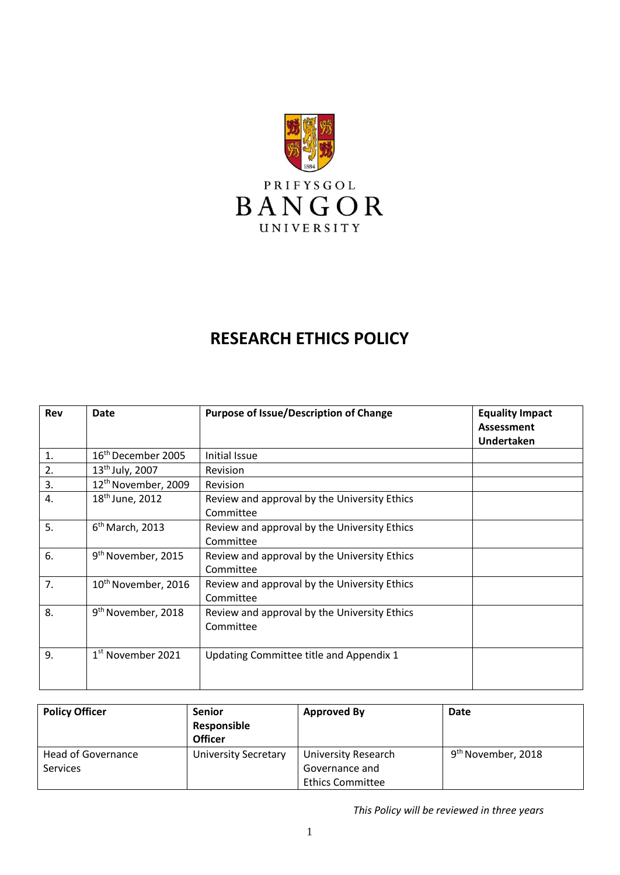

# **RESEARCH ETHICS POLICY**

| Rev            | <b>Date</b>                     | <b>Purpose of Issue/Description of Change</b>             | <b>Equality Impact</b><br>Assessment<br><b>Undertaken</b> |
|----------------|---------------------------------|-----------------------------------------------------------|-----------------------------------------------------------|
| $\mathbf{1}$ . | 16 <sup>th</sup> December 2005  | Initial Issue                                             |                                                           |
| 2.             | $13^{th}$ July, 2007            | Revision                                                  |                                                           |
| 3.             | 12 <sup>th</sup> November, 2009 | Revision                                                  |                                                           |
| 4.             | 18 <sup>th</sup> June, 2012     | Review and approval by the University Ethics<br>Committee |                                                           |
| 5.             | $6th$ March, 2013               | Review and approval by the University Ethics<br>Committee |                                                           |
| 6.             | 9 <sup>th</sup> November, 2015  | Review and approval by the University Ethics<br>Committee |                                                           |
| 7.             | 10 <sup>th</sup> November, 2016 | Review and approval by the University Ethics<br>Committee |                                                           |
| 8.             | 9 <sup>th</sup> November, 2018  | Review and approval by the University Ethics<br>Committee |                                                           |
| 9.             | 1 <sup>st</sup> November 2021   | Updating Committee title and Appendix 1                   |                                                           |

| <b>Policy Officer</b>                 | <b>Senior</b><br>Responsible<br><b>Officer</b> | <b>Approved By</b>                           | Date                           |
|---------------------------------------|------------------------------------------------|----------------------------------------------|--------------------------------|
| Head of Governance<br><b>Services</b> | <b>University Secretary</b>                    | <b>University Research</b><br>Governance and | 9 <sup>th</sup> November, 2018 |
|                                       |                                                | <b>Ethics Committee</b>                      |                                |

*This Policy will be reviewed in three years*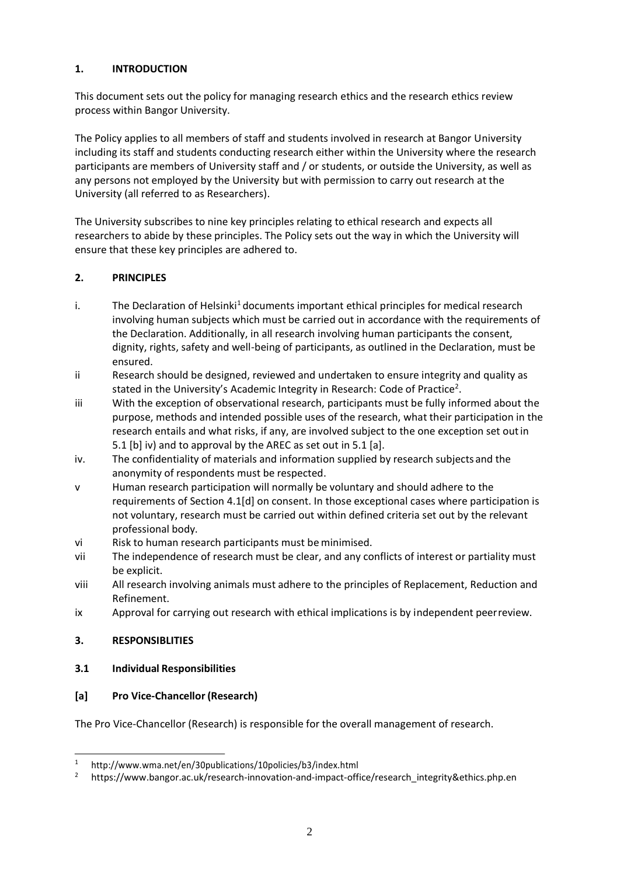# **1. INTRODUCTION**

This document sets out the policy for managing research ethics and the research ethics review process within Bangor University.

The Policy applies to all members of staff and students involved in research at Bangor University including its staff and students conducting research either within the University where the research participants are members of University staff and / or students, or outside the University, as well as any persons not employed by the University but with permission to carry out research at the University (all referred to as Researchers).

The University subscribes to nine key principles relating to ethical research and expects all researchers to abide by these principles. The Policy sets out the way in which the University will ensure that these key principles are adhered to.

### **2. PRINCIPLES**

- i. The Declaration of Helsin[ki](#page-1-0)<sup>1</sup> documents important ethical principles for medical research involving human subjects which must be carried out in accordance with the requirements of the Declaration. Additionally, in all research involving human participants the consent, dignity, rights, safety and well-being of participants, as outlined in the Declaration, must be ensured.
- ii Research should be designed, reviewed and undertaken to ensure integrity and quality as stat[e](#page-1-1)d in the University's Academic Integrity in Research: Code of Practice<sup>2</sup>.
- iii With the exception of observational research, participants must be fully informed about the purpose, methods and intended possible uses of the research, what their participation in the research entails and what risks, if any, are involved subject to the one exception set outin 5.1 [b] iv) and to approval by the AREC as set out in 5.1 [a].
- iv. The confidentiality of materials and information supplied by research subjects and the anonymity of respondents must be respected.
- v Human research participation will normally be voluntary and should adhere to the requirements of Section 4.1[d] on consent. In those exceptional cases where participation is not voluntary, research must be carried out within defined criteria set out by the relevant professional body.
- vi Risk to human research participants must be minimised.
- vii The independence of research must be clear, and any conflicts of interest or partiality must be explicit.
- viii All research involving animals must adhere to the principles of Replacement, Reduction and Refinement.
- ix Approval for carrying out research with ethical implications is by independent peerreview.

### **3. RESPONSIBLITIES**

### **3.1 Individual Responsibilities**

### **[a] Pro Vice-Chancellor (Research)**

The Pro Vice-Chancellor (Research) is responsible for the overall management of research.

<span id="page-1-0"></span><sup>&</sup>lt;sup>1</sup> <http://www.wma.net/en/30publications/10policies/b3/index.html>

<span id="page-1-1"></span>https://www.bangor.ac.uk/research-innovation-and-impact-office/research\_integrity&ethics.php.en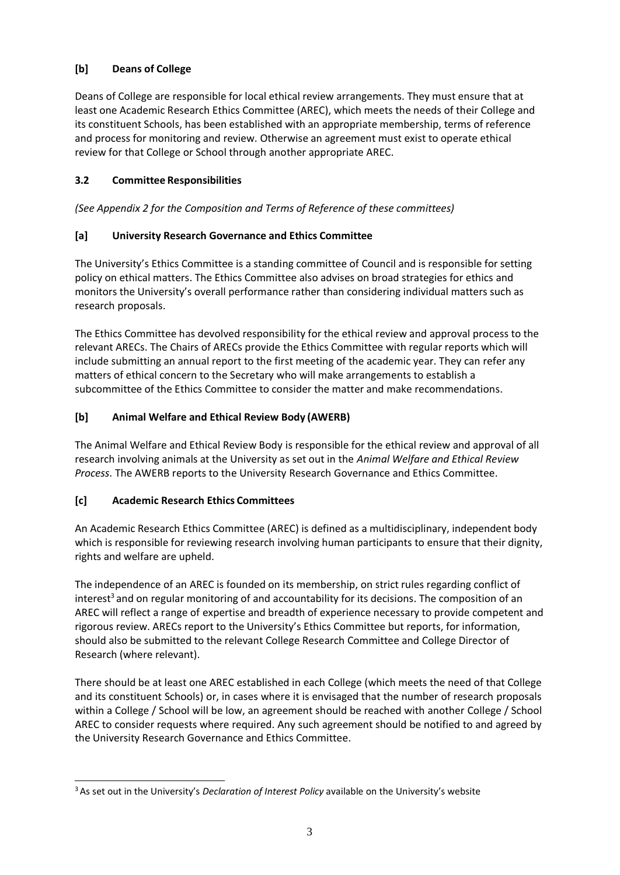# **[b] Deans of College**

Deans of College are responsible for local ethical review arrangements. They must ensure that at least one Academic Research Ethics Committee (AREC), which meets the needs of their College and its constituent Schools, has been established with an appropriate membership, terms of reference and process for monitoring and review. Otherwise an agreement must exist to operate ethical review for that College or School through another appropriate AREC.

### **3.2 Committee Responsibilities**

*(See Appendix 2 for the Composition and Terms of Reference of these committees)*

### **[a] University Research Governance and Ethics Committee**

The University's Ethics Committee is a standing committee of Council and is responsible for setting policy on ethical matters. The Ethics Committee also advises on broad strategies for ethics and monitors the University's overall performance rather than considering individual matters such as research proposals.

The Ethics Committee has devolved responsibility for the ethical review and approval process to the relevant ARECs. The Chairs of ARECs provide the Ethics Committee with regular reports which will include submitting an annual report to the first meeting of the academic year. They can refer any matters of ethical concern to the Secretary who will make arrangements to establish a subcommittee of the Ethics Committee to consider the matter and make recommendations.

### **[b] Animal Welfare and Ethical Review Body (AWERB)**

The Animal Welfare and Ethical Review Body is responsible for the ethical review and approval of all research involving animals at the University as set out in the *Animal Welfare and Ethical Review Process*. The AWERB reports to the University Research Governance and Ethics Committee.

### **[c] Academic Research Ethics Committees**

An Academic Research Ethics Committee (AREC) is defined as a multidisciplinary, independent body which is responsible for reviewing research involving human participants to ensure that their dignity, rights and welfare are upheld.

The independence of an AREC is founded on its membership, on strict rules regarding conflict of in[t](#page-2-0)erest<sup>3</sup> and on regular monitoring of and accountability for its decisions. The composition of an AREC will reflect a range of expertise and breadth of experience necessary to provide competent and rigorous review. ARECs report to the University's Ethics Committee but reports, for information, should also be submitted to the relevant College Research Committee and College Director of Research (where relevant).

There should be at least one AREC established in each College (which meets the need of that College and its constituent Schools) or, in cases where it is envisaged that the number of research proposals within a College / School will be low, an agreement should be reached with another College / School AREC to consider requests where required. Any such agreement should be notified to and agreed by the University Research Governance and Ethics Committee.

<span id="page-2-0"></span><sup>3</sup>As set out in the University's *Declaration of Interest Policy* available on the University's website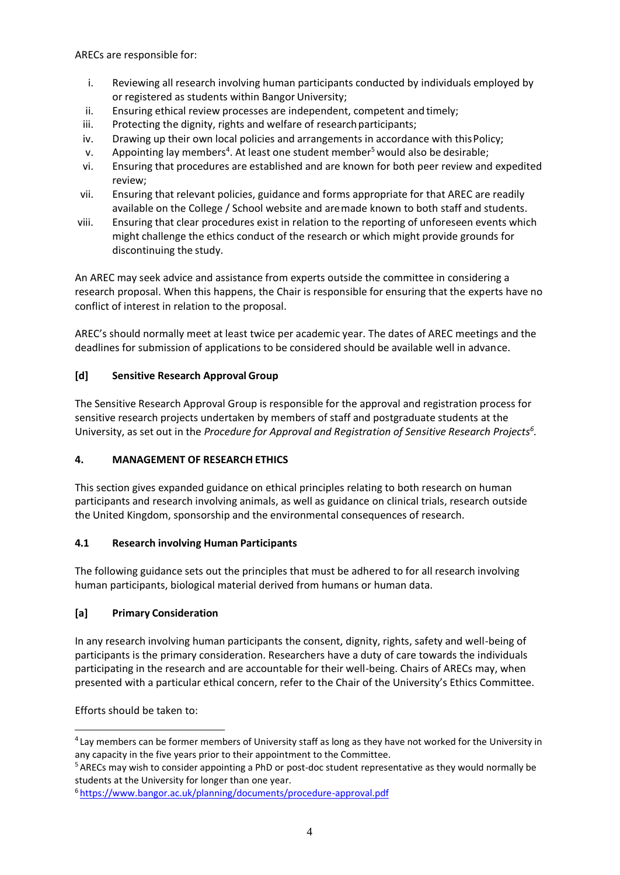ARECs are responsible for:

- i. Reviewing all research involving human participants conducted by individuals employed by or registered as students within Bangor University;
- ii. Ensuring ethical review processes are independent, competent and timely;
- iii. Protecting the dignity, rights and welfare of research participants;
- iv. Drawing up their own local policies and arrangements in accordance with this Policy;
- v. Appointing lay members<sup>[4](#page-3-0)</sup>. At least one student member<sup>[5](#page-3-1)</sup> would also be desirable;
- vi. Ensuring that procedures are established and are known for both peer review and expedited review;
- vii. Ensuring that relevant policies, guidance and forms appropriate for that AREC are readily available on the College / School website and aremade known to both staff and students.
- viii. Ensuring that clear procedures exist in relation to the reporting of unforeseen events which might challenge the ethics conduct of the research or which might provide grounds for discontinuing the study.

An AREC may seek advice and assistance from experts outside the committee in considering a research proposal. When this happens, the Chair is responsible for ensuring that the experts have no conflict of interest in relation to the proposal.

AREC's should normally meet at least twice per academic year. The dates of AREC meetings and the deadlines for submission of applications to be considered should be available well in advance.

### **[d] Sensitive Research Approval Group**

The Sensitive Research Approval Group is responsible for the approval and registration process for sensitive research projects undertaken by members of staff and postgraduate students at the University, as set out in the *Procedure for Approval and Registration of Sensitive Research Project[s](#page-3-2)<sup>6</sup> .*

### **4. MANAGEMENT OF RESEARCH ETHICS**

This section gives expanded guidance on ethical principles relating to both research on human participants and research involving animals, as well as guidance on clinical trials, research outside the United Kingdom, sponsorship and the environmental consequences of research.

### **4.1 Research involving Human Participants**

The following guidance sets out the principles that must be adhered to for all research involving human participants, biological material derived from humans or human data.

### **[a] Primary Consideration**

In any research involving human participants the consent, dignity, rights, safety and well-being of participants is the primary consideration. Researchers have a duty of care towards the individuals participating in the research and are accountable for their well-being. Chairs of ARECs may, when presented with a particular ethical concern, refer to the Chair of the University's Ethics Committee.

Efforts should be taken to:

<span id="page-3-0"></span><sup>4</sup>Lay members can be former members of University staff as long as they have not worked for the University in any capacity in the five years prior to their appointment to the Committee.

<span id="page-3-1"></span><sup>5</sup>ARECs may wish to consider appointing a PhD or post-doc student representative as they would normally be students at the University for longer than one year.

<span id="page-3-2"></span><sup>6</sup><https://www.bangor.ac.uk/planning/documents/procedure-approval.pdf>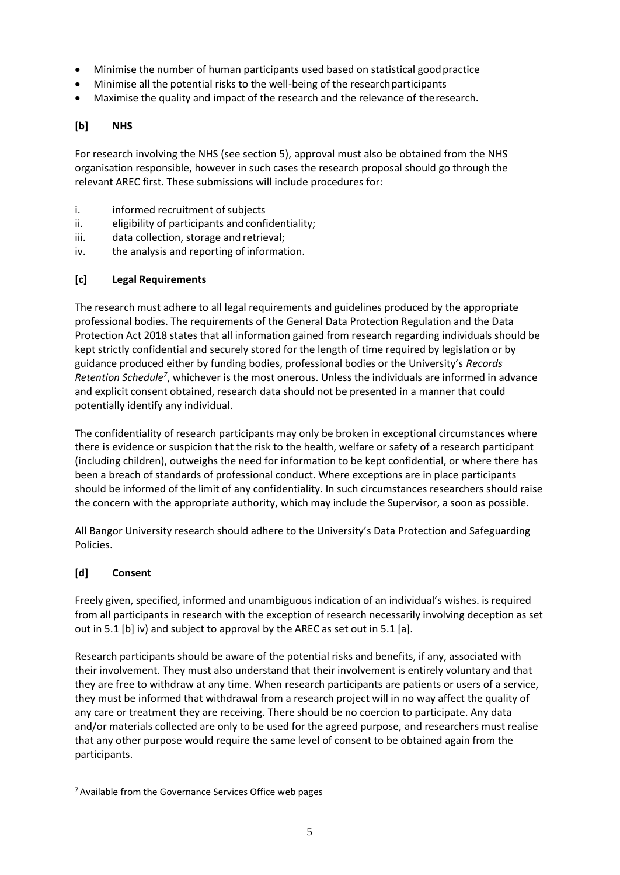- Minimise the number of human participants used based on statistical goodpractice
- Minimise all the potential risks to the well-being of the researchparticipants
- Maximise the quality and impact of the research and the relevance of theresearch.

# **[b] NHS**

For research involving the NHS (see section 5), approval must also be obtained from the NHS organisation responsible, however in such cases the research proposal should go through the relevant AREC first. These submissions will include procedures for:

- i. informed recruitment of subjects
- ii. eligibility of participants and confidentiality;
- iii. data collection, storage and retrieval;
- iv. the analysis and reporting of information.

### **[c] Legal Requirements**

The research must adhere to all legal requirements and guidelines produced by the appropriate professional bodies. The requirements of the General Data Protection Regulation and the Data Protection Act 2018 states that all information gained from research regarding individuals should be kept strictly confidential and securely stored for the length of time required by legislation or by guidance produced either by funding bodies, professional bodies or the University's *Records*  Retention Schedule<sup>[7](#page-4-0)</sup>, whichever is the most onerous. Unless the individuals are informed in advance and explicit consent obtained, research data should not be presented in a manner that could potentially identify any individual.

The confidentiality of research participants may only be broken in exceptional circumstances where there is evidence or suspicion that the risk to the health, welfare or safety of a research participant (including children), outweighs the need for information to be kept confidential, or where there has been a breach of standards of professional conduct. Where exceptions are in place participants should be informed of the limit of any confidentiality. In such circumstances researchers should raise the concern with the appropriate authority, which may include the Supervisor, a soon as possible.

All Bangor University research should adhere to the University's Data Protection and Safeguarding Policies.

### **[d] Consent**

Freely given, specified, informed and unambiguous indication of an individual's wishes. is required from all participants in research with the exception of research necessarily involving deception as set out in 5.1 [b] iv) and subject to approval by the AREC as set out in 5.1 [a].

Research participants should be aware of the potential risks and benefits, if any, associated with their involvement. They must also understand that their involvement is entirely voluntary and that they are free to withdraw at any time. When research participants are patients or users of a service, they must be informed that withdrawal from a research project will in no way affect the quality of any care or treatment they are receiving. There should be no coercion to participate. Any data and/or materials collected are only to be used for the agreed purpose, and researchers must realise that any other purpose would require the same level of consent to be obtained again from the participants.

<span id="page-4-0"></span><sup>7</sup>Available from the Governance Services Office web pages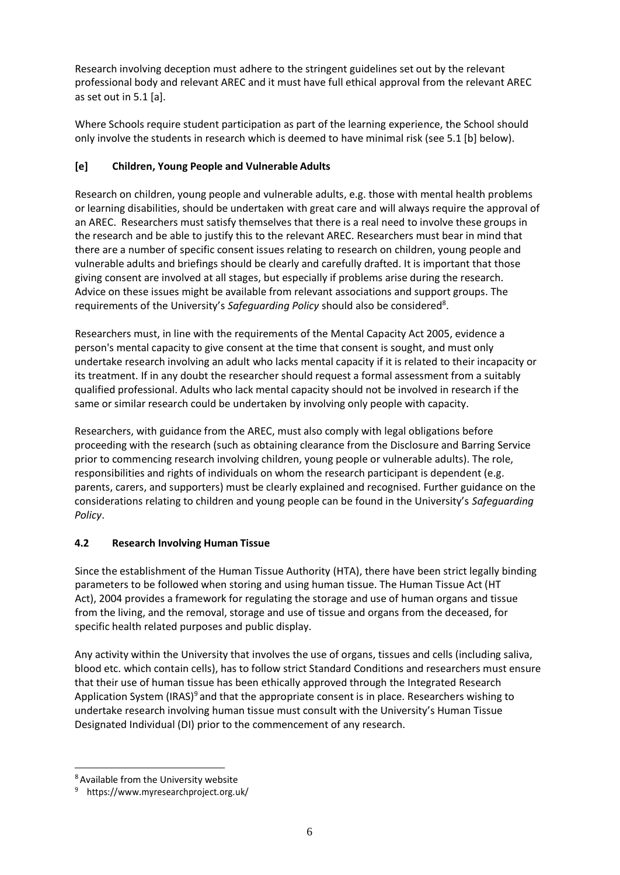Research involving deception must adhere to the stringent guidelines set out by the relevant professional body and relevant AREC and it must have full ethical approval from the relevant AREC as set out in 5.1 [a].

Where Schools require student participation as part of the learning experience, the School should only involve the students in research which is deemed to have minimal risk (see 5.1 [b] below).

# **[e] Children, Young People and Vulnerable Adults**

Research on children, young people and vulnerable adults, e.g. those with mental health problems or learning disabilities, should be undertaken with great care and will always require the approval of an AREC. Researchers must satisfy themselves that there is a real need to involve these groups in the research and be able to justify this to the relevant AREC. Researchers must bear in mind that there are a number of specific consent issues relating to research on children, young people and vulnerable adults and briefings should be clearly and carefully drafted. It is important that those giving consent are involved at all stages, but especially if problems arise during the research. Advice on these issues might be available from relevant associations and support groups. The requirements of the University's Safeguar[d](#page-5-0)ing Policy should also be considered<sup>8</sup>.

Researchers must, in line with the requirements of the Mental Capacity Act 2005, evidence a person's mental capacity to give consent at the time that consent is sought, and must only undertake research involving an adult who lacks mental capacity if it is related to their incapacity or its treatment. If in any doubt the researcher should request a formal assessment from a suitably qualified professional. Adults who lack mental capacity should not be involved in research if the same or similar research could be undertaken by involving only people with capacity.

Researchers, with guidance from the AREC, must also comply with legal obligations before proceeding with the research (such as obtaining clearance from the Disclosure and Barring Service prior to commencing research involving children, young people or vulnerable adults). The role, responsibilities and rights of individuals on whom the research participant is dependent (e.g. parents, carers, and supporters) must be clearly explained and recognised. Further guidance on the considerations relating to children and young people can be found in the University's *Safeguarding Policy*.

# **4.2 Research Involving Human Tissue**

Since the establishment of the Human Tissue Authority (HTA), there have been strict legally binding parameters to be followed when storing and using human tissue. The Human Tissue Act (HT Act), 2004 provides a framework for regulating the storage and use of human organs and tissue from the living, and the removal, storage and use of tissue and organs from the deceased, for specific health related purposes and public display.

Any activity within the University that involves the use of organs, tissues and cells (including saliva, blood etc. which contain cells), has to follow strict Standard Conditions and researchers must ensure that their use of human tissue has been ethically approved through the Integrated Research Application System (IRAS[\)](#page-5-1)<sup>9</sup> and that the appropriate consent is in place. Researchers wishing to undertake research involving human tissue must consult with the University's Human Tissue Designated Individual (DI) prior to the commencement of any research.

<span id="page-5-0"></span><sup>8</sup>Available from the University website

<span id="page-5-1"></span><sup>&</sup>lt;sup>9</sup> https:/[/www.myresearchproject.org.uk/](http://www.myresearchproject.org.uk/)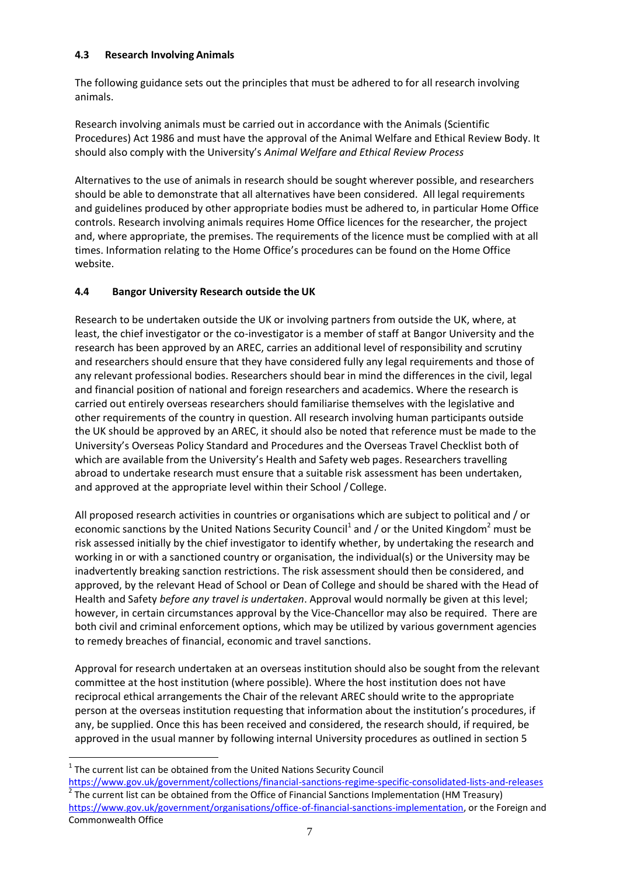### **4.3 Research Involving Animals**

The following guidance sets out the principles that must be adhered to for all research involving animals.

Research involving animals must be carried out in accordance with the Animals (Scientific Procedures) Act 1986 and must have the approval of the Animal Welfare and Ethical Review Body. It should also comply with the University's *Animal Welfare and Ethical Review Process*

Alternatives to the use of animals in research should be sought wherever possible, and researchers should be able to demonstrate that all alternatives have been considered. All legal requirements and guidelines produced by other appropriate bodies must be adhered to, in particular Home Office controls. Research involving animals requires Home Office licences for the researcher, the project and, where appropriate, the premises. The requirements of the licence must be complied with at all times. Information relating to the Home Office's procedures can be found on the Home Office website.

### **4.4 Bangor University Research outside the UK**

Research to be undertaken outside the UK or involving partners from outside the UK, where, at least, the chief investigator or the co-investigator is a member of staff at Bangor University and the research has been approved by an AREC, carries an additional level of responsibility and scrutiny and researchers should ensure that they have considered fully any legal requirements and those of any relevant professional bodies. Researchers should bear in mind the differences in the civil, legal and financial position of national and foreign researchers and academics. Where the research is carried out entirely overseas researchers should familiarise themselves with the legislative and other requirements of the country in question. All research involving human participants outside the UK should be approved by an AREC, it should also be noted that reference must be made to the University's Overseas Policy Standard and Procedures and the Overseas Travel Checklist both of which are available from the University's Health and Safety web pages. Researchers travelling abroad to undertake research must ensure that a suitable risk assessment has been undertaken, and approved at the appropriate level within their School /College.

All proposed research activities in countries or organisations which are subject to political and / or economic sanctions by the United Nations Security Council<sup>1</sup> and / or the United Kingdom<sup>2</sup> must be risk assessed initially by the chief investigator to identify whether, by undertaking the research and working in or with a sanctioned country or organisation, the individual(s) or the University may be inadvertently breaking sanction restrictions. The risk assessment should then be considered, and approved, by the relevant Head of School or Dean of College and should be shared with the Head of Health and Safety *before any travel is undertaken*. Approval would normally be given at this level; however, in certain circumstances approval by the Vice-Chancellor may also be required. There are both civil and criminal enforcement options, which may be utilized by various government agencies to remedy breaches of financial, economic and travel sanctions.

Approval for research undertaken at an overseas institution should also be sought from the relevant committee at the host institution (where possible). Where the host institution does not have reciprocal ethical arrangements the Chair of the relevant AREC should write to the appropriate person at the overseas institution requesting that information about the institution's procedures, if any, be supplied. Once this has been received and considered, the research should, if required, be approved in the usual manner by following internal University procedures as outlined in section 5

 $\overline{a}$ 

 $1$  The current list can be obtained from the United Nations Security Council

<https://www.gov.uk/government/collections/financial-sanctions-regime-specific-consolidated-lists-and-releases>  $^2$  The current list can be obtained from the Office of Financial Sanctions Implementation (HM Treasury) [https://www.gov.uk/government/organisations/office-of-financial-sanctions-implementation,](https://www.gov.uk/government/organisations/office-of-financial-sanctions-implementation) or the Foreign and Commonwealth Office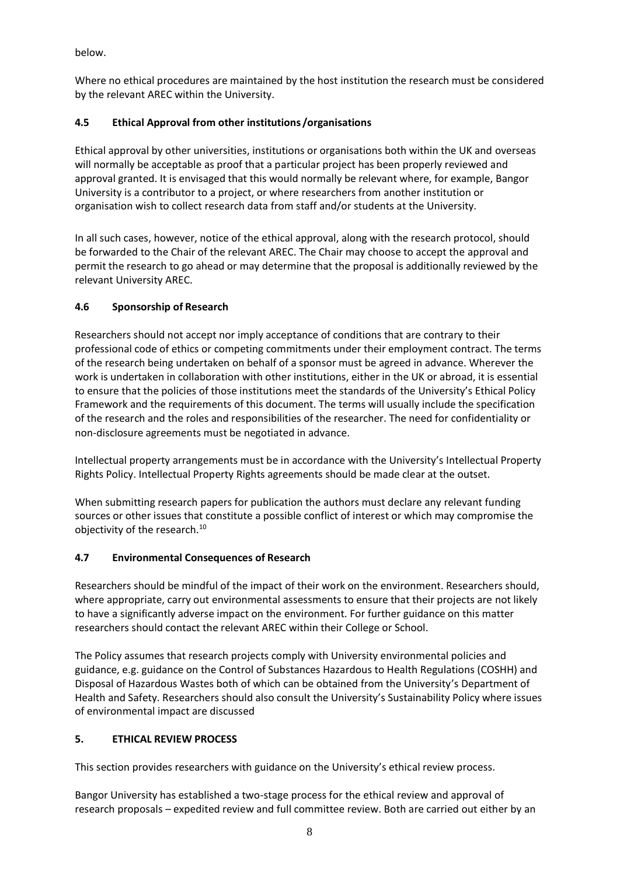below.

Where no ethical procedures are maintained by the host institution the research must be considered by the relevant AREC within the University.

# **4.5 Ethical Approval from other institutions /organisations**

Ethical approval by other universities, institutions or organisations both within the UK and overseas will normally be acceptable as proof that a particular project has been properly reviewed and approval granted. It is envisaged that this would normally be relevant where, for example, Bangor University is a contributor to a project, or where researchers from another institution or organisation wish to collect research data from staff and/or students at the University.

In all such cases, however, notice of the ethical approval, along with the research protocol, should be forwarded to the Chair of the relevant AREC. The Chair may choose to accept the approval and permit the research to go ahead or may determine that the proposal is additionally reviewed by the relevant University AREC.

# **4.6 Sponsorship of Research**

Researchers should not accept nor imply acceptance of conditions that are contrary to their professional code of ethics or competing commitments under their employment contract. The terms of the research being undertaken on behalf of a sponsor must be agreed in advance. Wherever the work is undertaken in collaboration with other institutions, either in the UK or abroad, it is essential to ensure that the policies of those institutions meet the standards of the University's Ethical Policy Framework and the requirements of this document. The terms will usually include the specification of the research and the roles and responsibilities of the researcher. The need for confidentiality or non-disclosure agreements must be negotiated in advance.

Intellectual property arrangements must be in accordance with the University's Intellectual Property Rights Policy. Intellectual Property Rights agreements should be made clear at the outset.

When submitting research papers for publication the authors must declare any relevant funding sources or other issues that constitute a possible conflict of interest or which may compromise the objectivity of the research.<sup>[10](#page-8-0)</sup>

### **4.7 Environmental Consequences of Research**

Researchers should be mindful of the impact of their work on the environment. Researchers should, where appropriate, carry out environmental assessments to ensure that their projects are not likely to have a significantly adverse impact on the environment. For further guidance on this matter researchers should contact the relevant AREC within their College or School.

The Policy assumes that research projects comply with University environmental policies and guidance, e.g. guidance on the Control of Substances Hazardous to Health Regulations (COSHH) and Disposal of Hazardous Wastes both of which can be obtained from the University's Department of Health and Safety. Researchers should also consult the University's Sustainability Policy where issues of environmental impact are discussed

# **5. ETHICAL REVIEW PROCESS**

This section provides researchers with guidance on the University's ethical review process.

Bangor University has established a two-stage process for the ethical review and approval of research proposals – expedited review and full committee review. Both are carried out either by an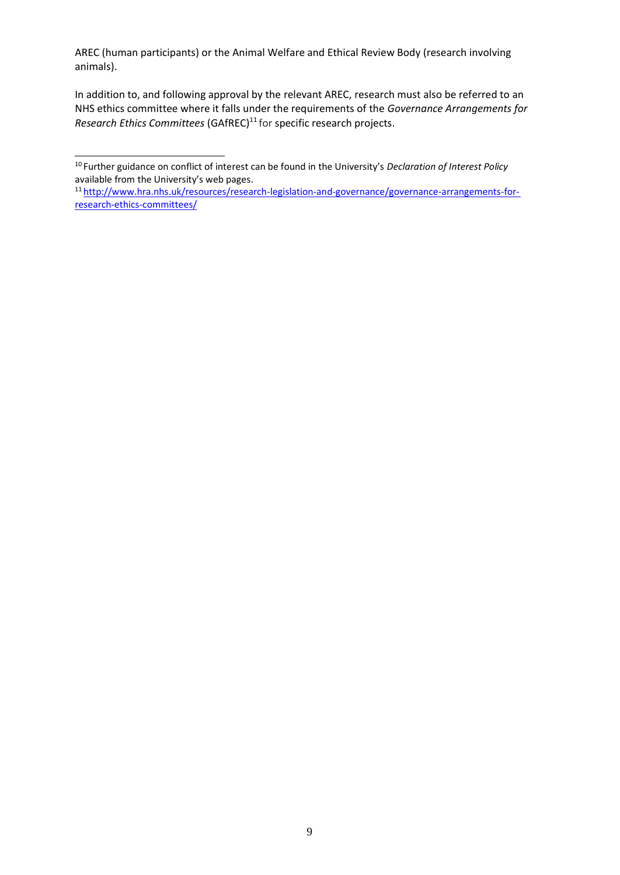AREC (human participants) or the Animal Welfare and Ethical Review Body (research involving animals).

In addition to, and following approval by the relevant AREC, research must also be referred to an NHS ethics committee where it falls under the requirements of the *Governance Arrangements for Research Ethics Committees* (GAfREC)<sup>[11](#page-8-1)</sup> for specific research projects.

<span id="page-8-0"></span><sup>10</sup>Further guidance on conflict of interest can be found in the University's *Declaration of Interest Policy* available from the University's web pages.

<span id="page-8-1"></span><sup>11</sup>[http://www.hra.nhs.uk/resources/research-legislation-and-governance/governance-arrangements-for](http://www.hra.nhs.uk/resources/research-legislation-and-governance/governance-arrangements-for-research-ethics-committees/)[research-ethics-committees/](http://www.hra.nhs.uk/resources/research-legislation-and-governance/governance-arrangements-for-research-ethics-committees/)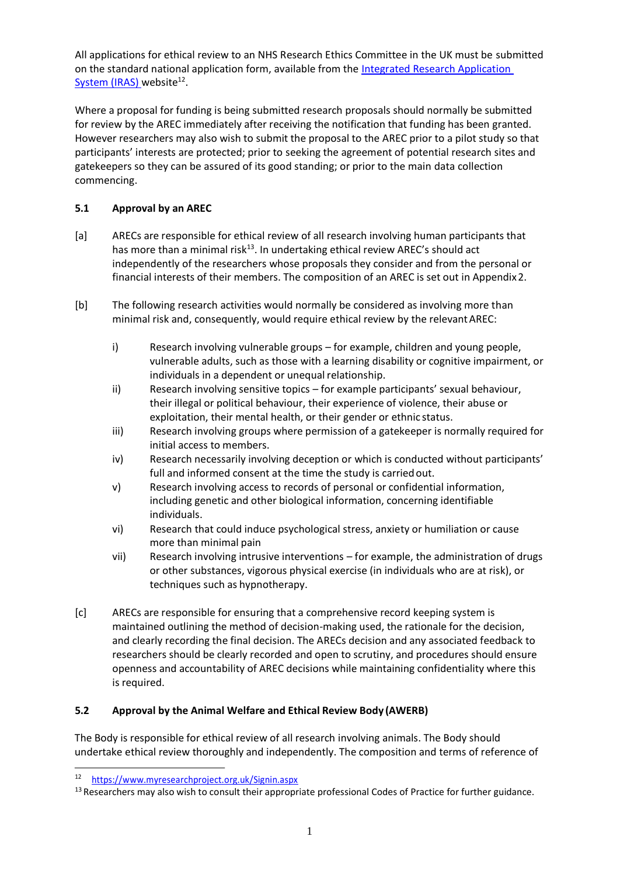All applications for ethical review to an NHS Research Ethics Committee in the UK must be submitted on the standard national application form, available from the [Integrated Research Application](https://www.myresearchproject.org.uk/Signin.aspx) [System \(IRAS\)](https://www.myresearchproject.org.uk/Signin.aspx) website<sup>[12](#page-9-0)</sup>.

Where a proposal for funding is being submitted research proposals should normally be submitted for review by the AREC immediately after receiving the notification that funding has been granted. However researchers may also wish to submit the proposal to the AREC prior to a pilot study so that participants' interests are protected; prior to seeking the agreement of potential research sites and gatekeepers so they can be assured of its good standing; or prior to the main data collection commencing.

# **5.1 Approval by an AREC**

- [a] ARECs are responsible for ethical review of all research involving human participants that has more than a minimal risk<sup>[13](#page-9-1)</sup>. In undertaking ethical review AREC's should act independently of the researchers whose proposals they consider and from the personal or financial interests of their members. The composition of an AREC is set out in Appendix2.
- [b] The following research activities would normally be considered as involving more than minimal risk and, consequently, would require ethical review by the relevantAREC:
	- i) Research involving vulnerable groups for example, children and young people, vulnerable adults, such as those with a learning disability or cognitive impairment, or individuals in a dependent or unequal relationship.
	- ii) Research involving sensitive topics for example participants' sexual behaviour, their illegal or political behaviour, their experience of violence, their abuse or exploitation, their mental health, or their gender or ethnic status.
	- iii) Research involving groups where permission of a gatekeeper is normally required for initial access to members.
	- iv) Research necessarily involving deception or which is conducted without participants' full and informed consent at the time the study is carriedout.
	- v) Research involving access to records of personal or confidential information, including genetic and other biological information, concerning identifiable individuals.
	- vi) Research that could induce psychological stress, anxiety or humiliation or cause more than minimal pain
	- vii) Research involving intrusive interventions for example, the administration of drugs or other substances, vigorous physical exercise (in individuals who are at risk), or techniques such as hypnotherapy.
- [c] ARECs are responsible for ensuring that a comprehensive record keeping system is maintained outlining the method of decision-making used, the rationale for the decision, and clearly recording the final decision. The ARECs decision and any associated feedback to researchers should be clearly recorded and open to scrutiny, and procedures should ensure openness and accountability of AREC decisions while maintaining confidentiality where this is required.

### **5.2 Approval by the Animal Welfare and Ethical Review Body (AWERB)**

The Body is responsible for ethical review of all research involving animals. The Body should undertake ethical review thoroughly and independently. The composition and terms of reference of

<span id="page-9-0"></span><sup>12</sup> <https://www.myresearchproject.org.uk/Signin.aspx>

<span id="page-9-1"></span><sup>&</sup>lt;sup>13</sup> Researchers may also wish to consult their appropriate professional Codes of Practice for further guidance.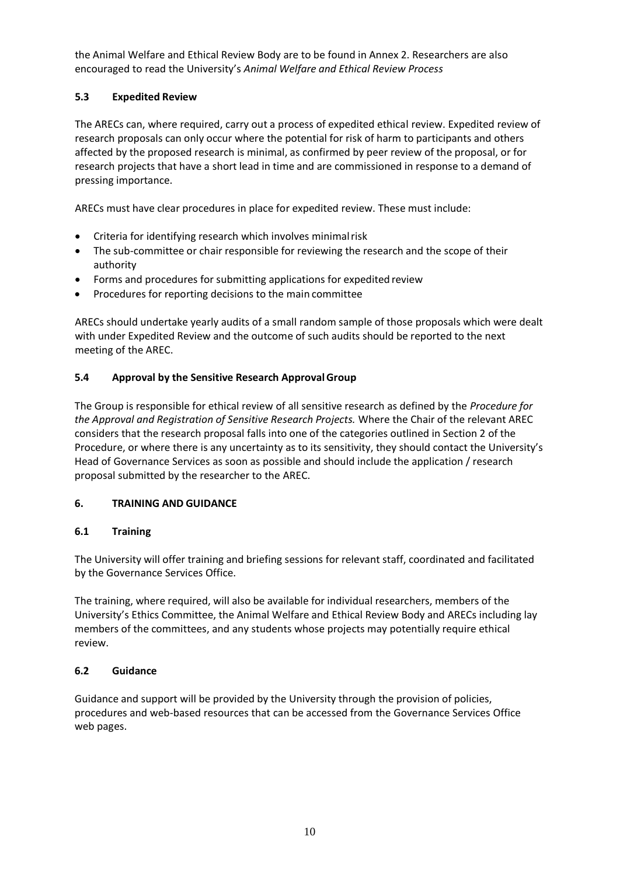the Animal Welfare and Ethical Review Body are to be found in Annex 2. Researchers are also encouraged to read the University's *Animal Welfare and Ethical Review Process*

# **5.3 Expedited Review**

The ARECs can, where required, carry out a process of expedited ethical review. Expedited review of research proposals can only occur where the potential for risk of harm to participants and others affected by the proposed research is minimal, as confirmed by peer review of the proposal, or for research projects that have a short lead in time and are commissioned in response to a demand of pressing importance.

ARECs must have clear procedures in place for expedited review. These must include:

- Criteria for identifying research which involves minimal risk
- The sub-committee or chair responsible for reviewing the research and the scope of their authority
- Forms and procedures for submitting applications for expedited review
- Procedures for reporting decisions to the main committee

ARECs should undertake yearly audits of a small random sample of those proposals which were dealt with under Expedited Review and the outcome of such audits should be reported to the next meeting of the AREC.

### **5.4 Approval by the Sensitive Research ApprovalGroup**

The Group is responsible for ethical review of all sensitive research as defined by the *Procedure for the Approval and Registration of Sensitive Research Projects.* Where the Chair of the relevant AREC considers that the research proposal falls into one of the categories outlined in Section 2 of the Procedure, or where there is any uncertainty as to its sensitivity, they should contact the University's Head of Governance Services as soon as possible and should include the application / research proposal submitted by the researcher to the AREC.

### **6. TRAINING AND GUIDANCE**

### **6.1 Training**

The University will offer training and briefing sessions for relevant staff, coordinated and facilitated by the Governance Services Office.

The training, where required, will also be available for individual researchers, members of the University's Ethics Committee, the Animal Welfare and Ethical Review Body and ARECs including lay members of the committees, and any students whose projects may potentially require ethical review.

### **6.2 Guidance**

Guidance and support will be provided by the University through the provision of policies, procedures and web-based resources that can be accessed from the Governance Services Office web pages.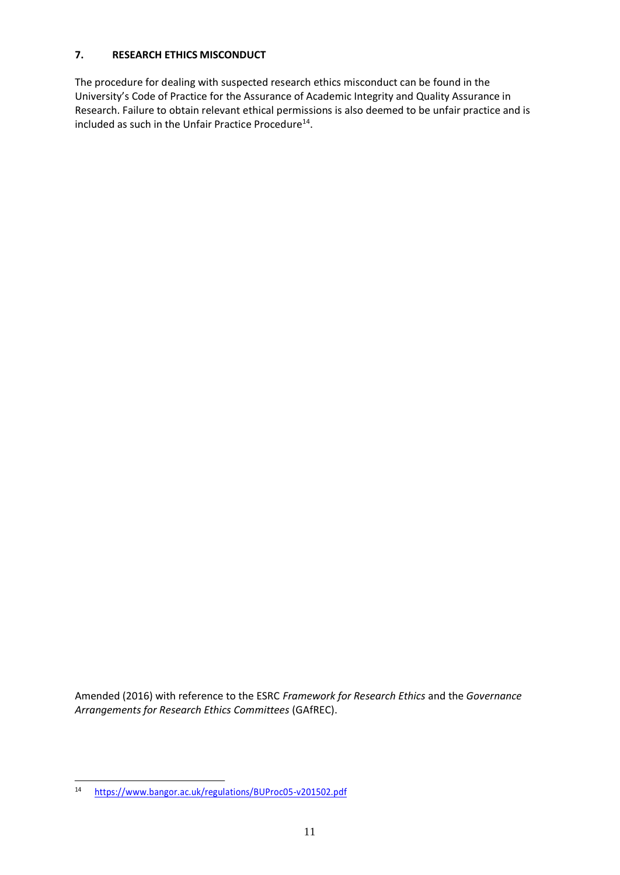### **7. RESEARCH ETHICS MISCONDUCT**

The procedure for dealing with suspected research ethics misconduct can be found in the University's Code of Practice for the Assurance of Academic Integrity and Quality Assurance in Research. Failure to obtain relevant ethical permissions is also deemed to be unfair practice and is included as such in the Unfair Practice Procedure<sup>[14](#page-11-0)</sup>.

Amended (2016) with reference to the ESRC *Framework for Research Ethics* and the *Governance Arrangements for Research Ethics Committees* (GAfREC).

<span id="page-11-0"></span><sup>14</sup> <https://www.bangor.ac.uk/regulations/BUProc05-v201502.pdf>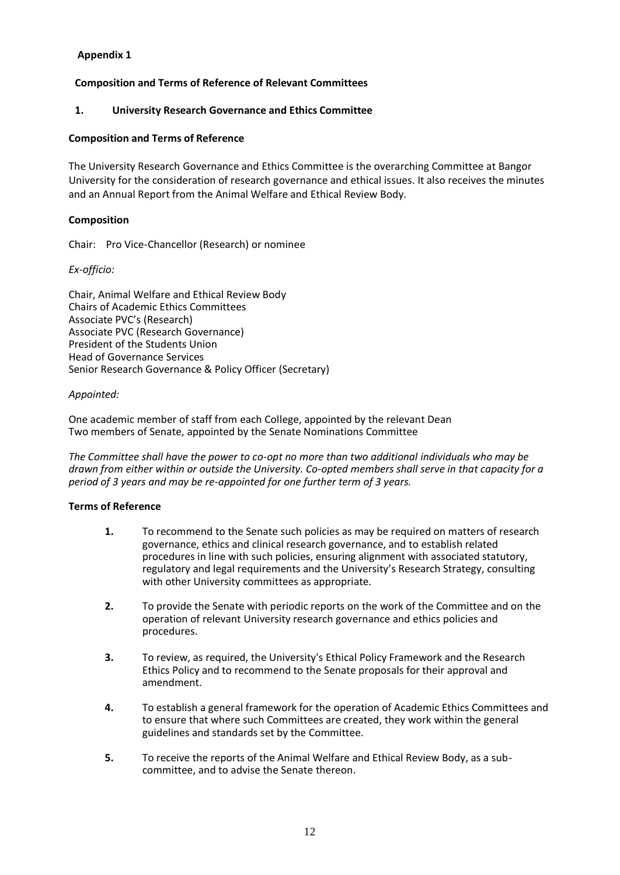### **Appendix 1**

### **Composition and Terms of Reference of Relevant Committees**

#### **1. University Research Governance and Ethics Committee**

#### **Composition and Terms of Reference**

The University Research Governance and Ethics Committee is the overarching Committee at Bangor University for the consideration of research governance and ethical issues. It also receives the minutes and an Annual Report from the Animal Welfare and Ethical Review Body.

#### **Composition**

Chair: Pro Vice-Chancellor (Research) or nominee

#### *Ex-officio:*

Chair, Animal Welfare and Ethical Review Body Chairs of Academic Ethics Committees Associate PVC's (Research) Associate PVC (Research Governance) President of the Students Union Head of Governance Services Senior Research Governance & Policy Officer (Secretary)

#### *Appointed:*

One academic member of staff from each College, appointed by the relevant Dean Two members of Senate, appointed by the Senate Nominations Committee

*The Committee shall have the power to co-opt no more than two additional individuals who may be drawn from either within or outside the University. Co-opted members shall serve in that capacity for a period of 3 years and may be re-appointed for one further term of 3 years.*

#### **Terms of Reference**

- **1.** To recommend to the Senate such policies as may be required on matters of research governance, ethics and clinical research governance, and to establish related procedures in line with such policies, ensuring alignment with associated statutory, regulatory and legal requirements and the University's Research Strategy, consulting with other University committees as appropriate.
- **2.** To provide the Senate with periodic reports on the work of the Committee and on the operation of relevant University research governance and ethics policies and procedures.
- **3.** To review, as required, the University's Ethical Policy Framework and the Research Ethics Policy and to recommend to the Senate proposals for their approval and amendment.
- **4.** To establish a general framework for the operation of Academic Ethics Committees and to ensure that where such Committees are created, they work within the general guidelines and standards set by the Committee.
- **5.** To receive the reports of the Animal Welfare and Ethical Review Body, as a subcommittee, and to advise the Senate thereon.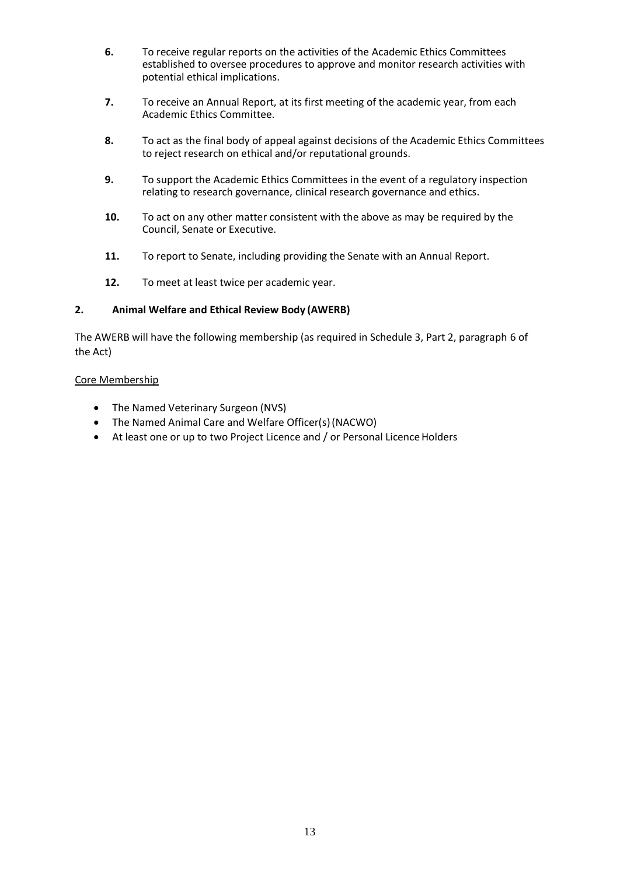- **6.** To receive regular reports on the activities of the Academic Ethics Committees established to oversee procedures to approve and monitor research activities with potential ethical implications.
- **7.** To receive an Annual Report, at its first meeting of the academic year, from each Academic Ethics Committee.
- **8.** To act as the final body of appeal against decisions of the Academic Ethics Committees to reject research on ethical and/or reputational grounds.
- **9.** To support the Academic Ethics Committees in the event of a regulatory inspection relating to research governance, clinical research governance and ethics.
- **10.** To act on any other matter consistent with the above as may be required by the Council, Senate or Executive.
- **11.** To report to Senate, including providing the Senate with an Annual Report.
- **12.** To meet at least twice per academic year.

#### **2. Animal Welfare and Ethical Review Body (AWERB)**

The AWERB will have the following membership (as required in Schedule 3, Part 2, paragraph 6 of the Act)

#### Core Membership

- The Named Veterinary Surgeon (NVS)
- The Named Animal Care and Welfare Officer(s)(NACWO)
- At least one or up to two Project Licence and / or Personal Licence Holders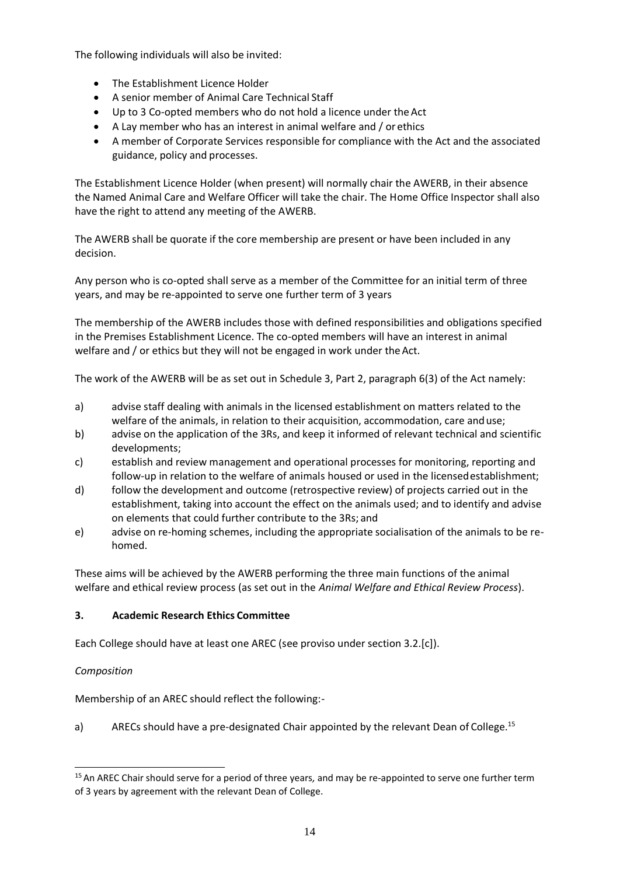The following individuals will also be invited:

- The Establishment Licence Holder
- A senior member of Animal Care Technical Staff
- Up to 3 Co-opted members who do not hold a licence under theAct
- A Lay member who has an interest in animal welfare and / or ethics
- A member of Corporate Services responsible for compliance with the Act and the associated guidance, policy and processes.

The Establishment Licence Holder (when present) will normally chair the AWERB, in their absence the Named Animal Care and Welfare Officer will take the chair. The Home Office Inspector shall also have the right to attend any meeting of the AWERB.

The AWERB shall be quorate if the core membership are present or have been included in any decision.

Any person who is co-opted shall serve as a member of the Committee for an initial term of three years, and may be re-appointed to serve one further term of 3 years

The membership of the AWERB includes those with defined responsibilities and obligations specified in the Premises Establishment Licence. The co-opted members will have an interest in animal welfare and / or ethics but they will not be engaged in work under the Act.

The work of the AWERB will be as set out in Schedule 3, Part 2, paragraph 6(3) of the Act namely:

- a) advise staff dealing with animals in the licensed establishment on matters related to the welfare of the animals, in relation to their acquisition, accommodation, care anduse;
- b) advise on the application of the 3Rs, and keep it informed of relevant technical and scientific developments;
- c) establish and review management and operational processes for monitoring, reporting and follow-up in relation to the welfare of animals housed or used in the licensedestablishment;
- d) follow the development and outcome (retrospective review) of projects carried out in the establishment, taking into account the effect on the animals used; and to identify and advise on elements that could further contribute to the 3Rs; and
- e) advise on re-homing schemes, including the appropriate socialisation of the animals to be rehomed.

These aims will be achieved by the AWERB performing the three main functions of the animal welfare and ethical review process (as set out in the *Animal Welfare and Ethical Review Process*).

### **3. Academic Research Ethics Committee**

Each College should have at least one AREC (see proviso under section 3.2.[c]).

### *Composition*

Membership of an AREC should reflect the following:-

a) ARECs should have a pre-designated Chair appointed by the relevant Dean of College.<sup>[15](#page-14-0)</sup>

<span id="page-14-0"></span><sup>15</sup>An AREC Chair should serve for a period of three years*,* and may be re-appointed to serve one further term of 3 years by agreement with the relevant Dean of College.